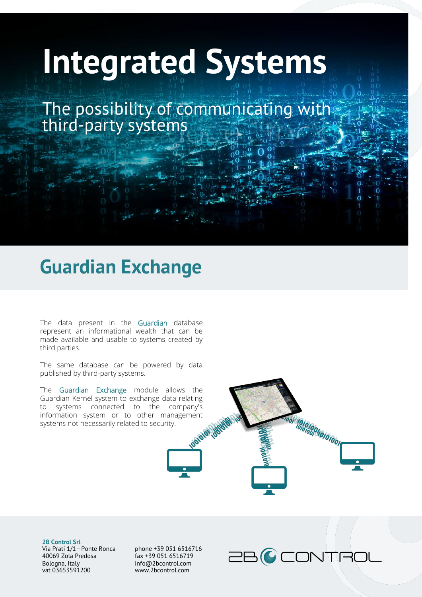## **Integrated Systems**

The possibility of communicating with third-party systems

## **Guardian Exchange**

The data present in the Guardian database represent an informational wealth that can be made available and usable to systems created by third parties.

The same database can be powered by data published by third-party systems.

The Guardian Exchange module allows the Guardian Kernel system to exchange data relating to systems connected to the company's information system or to other management systems not necessarily related to security.



**2B Control Srl** Via Prati 1/1—Ponte Ronca 40069 Zola Predosa Bologna, Italy vat 03653591200

phone +39 051 6516716 fax +39 051 6516719 info@2bcontrol.com www.2bcontrol.com